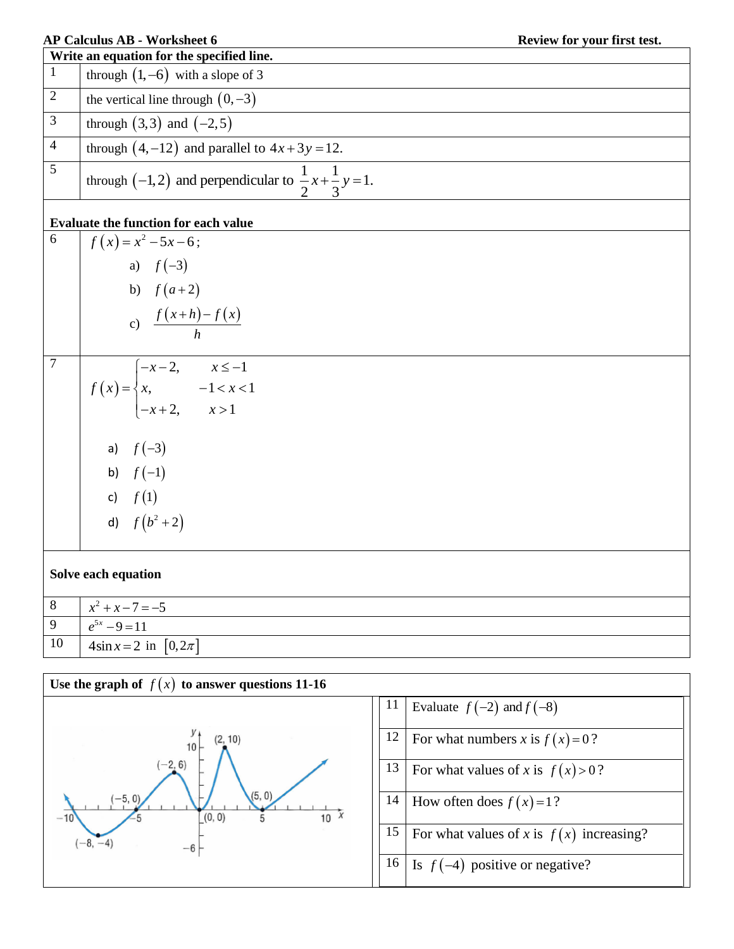|                | <b>AP Calculus AB - Worksheet 6</b>                                                     | Review for your first test. |  |  |  |  |  |  |
|----------------|-----------------------------------------------------------------------------------------|-----------------------------|--|--|--|--|--|--|
| $\mathbf{1}$   | Write an equation for the specified line.<br>through $(1, -6)$ with a slope of 3        |                             |  |  |  |  |  |  |
| $\overline{2}$ |                                                                                         |                             |  |  |  |  |  |  |
|                | the vertical line through $(0, -3)$                                                     |                             |  |  |  |  |  |  |
| $\mathfrak{Z}$ | through $(3,3)$ and $(-2,5)$                                                            |                             |  |  |  |  |  |  |
| $\overline{4}$ | through $(4,-12)$ and parallel to $4x+3y=12$ .                                          |                             |  |  |  |  |  |  |
| 5              | through (-1,2) and perpendicular to $\frac{1}{2}x + \frac{1}{3}y = 1$ .                 |                             |  |  |  |  |  |  |
|                | Evaluate the function for each value                                                    |                             |  |  |  |  |  |  |
| 6              | $f(x) = x^2 - 5x - 6;$                                                                  |                             |  |  |  |  |  |  |
|                | a) $f(-3)$                                                                              |                             |  |  |  |  |  |  |
|                | b) $f(a+2)$                                                                             |                             |  |  |  |  |  |  |
|                | c) $\frac{f(x+h)-f(x)}{h}$                                                              |                             |  |  |  |  |  |  |
|                |                                                                                         |                             |  |  |  |  |  |  |
| $\tau$         |                                                                                         |                             |  |  |  |  |  |  |
|                | $f(x) = \begin{cases} -x-2, & x \le -1 \\ x, & -1 < x < 1 \\ -x+2, & x > 1 \end{cases}$ |                             |  |  |  |  |  |  |
|                |                                                                                         |                             |  |  |  |  |  |  |
|                |                                                                                         |                             |  |  |  |  |  |  |
|                | a) $f(-3)$                                                                              |                             |  |  |  |  |  |  |
|                | b) $f(-1)$                                                                              |                             |  |  |  |  |  |  |
|                | c) $f(1)$                                                                               |                             |  |  |  |  |  |  |
|                |                                                                                         |                             |  |  |  |  |  |  |
|                | d) $f(b^2+2)$                                                                           |                             |  |  |  |  |  |  |
|                | Solve each equation                                                                     |                             |  |  |  |  |  |  |
| $\,8\,$        | $x^2 + x - 7 = -5$                                                                      |                             |  |  |  |  |  |  |
| 9              | $e^{5x}-9=11$                                                                           |                             |  |  |  |  |  |  |
| 10             | $4\sin x = 2$ in $[0, 2\pi]$                                                            |                             |  |  |  |  |  |  |